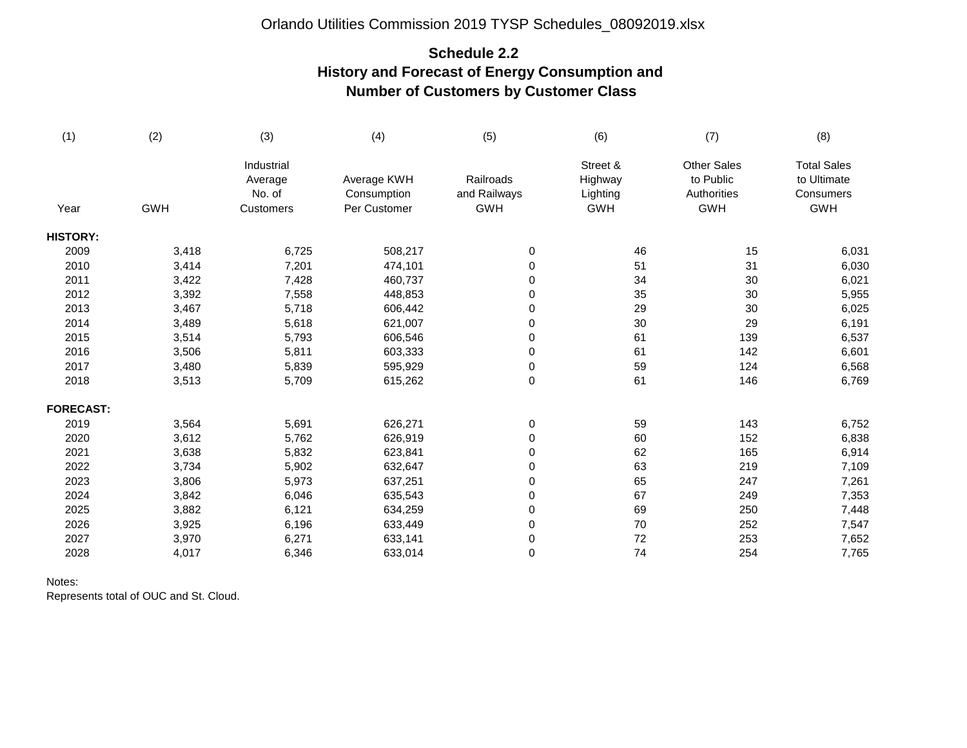### Orlando Utilities Commission 2019 TYSP Schedules\_08092019.xlsx

# **Schedule 2.2 History and Forecast of Energy Consumption and Number of Customers by Customer Class**

| (1)              | (2)        | (3)                                          | (4)                                        | (5)                                     | (6)                                           | (7)                                                          | (8)                                                          |
|------------------|------------|----------------------------------------------|--------------------------------------------|-----------------------------------------|-----------------------------------------------|--------------------------------------------------------------|--------------------------------------------------------------|
| Year             | <b>GWH</b> | Industrial<br>Average<br>No. of<br>Customers | Average KWH<br>Consumption<br>Per Customer | Railroads<br>and Railways<br><b>GWH</b> | Street &<br>Highway<br>Lighting<br><b>GWH</b> | <b>Other Sales</b><br>to Public<br>Authorities<br><b>GWH</b> | <b>Total Sales</b><br>to Ultimate<br>Consumers<br><b>GWH</b> |
|                  |            |                                              |                                            |                                         |                                               |                                                              |                                                              |
| <b>HISTORY:</b>  |            |                                              |                                            |                                         |                                               |                                                              |                                                              |
| 2009             | 3,418      | 6,725                                        | 508,217                                    | $\pmb{0}$                               | 46                                            | 15                                                           | 6,031                                                        |
| 2010             | 3,414      | 7,201                                        | 474,101                                    | 0                                       | 51                                            | 31                                                           | 6,030                                                        |
| 2011             | 3,422      | 7,428                                        | 460,737                                    | 0                                       | 34                                            | 30                                                           | 6,021                                                        |
| 2012             | 3,392      | 7,558                                        | 448,853                                    | 0                                       | 35                                            | 30                                                           | 5,955                                                        |
| 2013             | 3,467      | 5,718                                        | 606,442                                    | 0                                       | 29                                            | 30                                                           | 6,025                                                        |
| 2014             | 3,489      | 5,618                                        | 621,007                                    | 0                                       | $30\,$                                        | 29                                                           | 6,191                                                        |
| 2015             | 3,514      | 5,793                                        | 606,546                                    | 0                                       | 61                                            | 139                                                          | 6,537                                                        |
| 2016             | 3,506      | 5,811                                        | 603,333                                    | 0                                       | 61                                            | 142                                                          | 6,601                                                        |
| 2017             | 3,480      | 5,839                                        | 595,929                                    | 0                                       | 59                                            | 124                                                          | 6,568                                                        |
| 2018             | 3,513      | 5,709                                        | 615,262                                    | 0                                       | 61                                            | 146                                                          | 6,769                                                        |
| <b>FORECAST:</b> |            |                                              |                                            |                                         |                                               |                                                              |                                                              |
| 2019             | 3,564      | 5,691                                        | 626,271                                    | 0                                       | 59                                            | 143                                                          | 6,752                                                        |
| 2020             | 3,612      | 5,762                                        | 626,919                                    | 0                                       | 60                                            | 152                                                          | 6,838                                                        |
| 2021             | 3,638      | 5,832                                        | 623,841                                    | 0                                       | 62                                            | 165                                                          | 6,914                                                        |
| 2022             | 3,734      | 5,902                                        | 632,647                                    | 0                                       | 63                                            | 219                                                          | 7,109                                                        |
| 2023             | 3,806      | 5,973                                        | 637,251                                    | 0                                       | 65                                            | 247                                                          | 7,261                                                        |
| 2024             | 3,842      | 6,046                                        | 635,543                                    | 0                                       | 67                                            | 249                                                          | 7,353                                                        |
| 2025             | 3,882      | 6,121                                        | 634,259                                    | 0                                       | 69                                            | 250                                                          | 7,448                                                        |
| 2026             | 3,925      | 6,196                                        | 633,449                                    | 0                                       | $70\,$                                        | 252                                                          | 7,547                                                        |
| 2027             | 3,970      | 6,271                                        | 633,141                                    | 0                                       | 72                                            | 253                                                          | 7,652                                                        |
| 2028             | 4,017      | 6,346                                        | 633,014                                    | 0                                       | 74                                            | 254                                                          | 7,765                                                        |

#### Notes:

Represents total of OUC and St. Cloud.